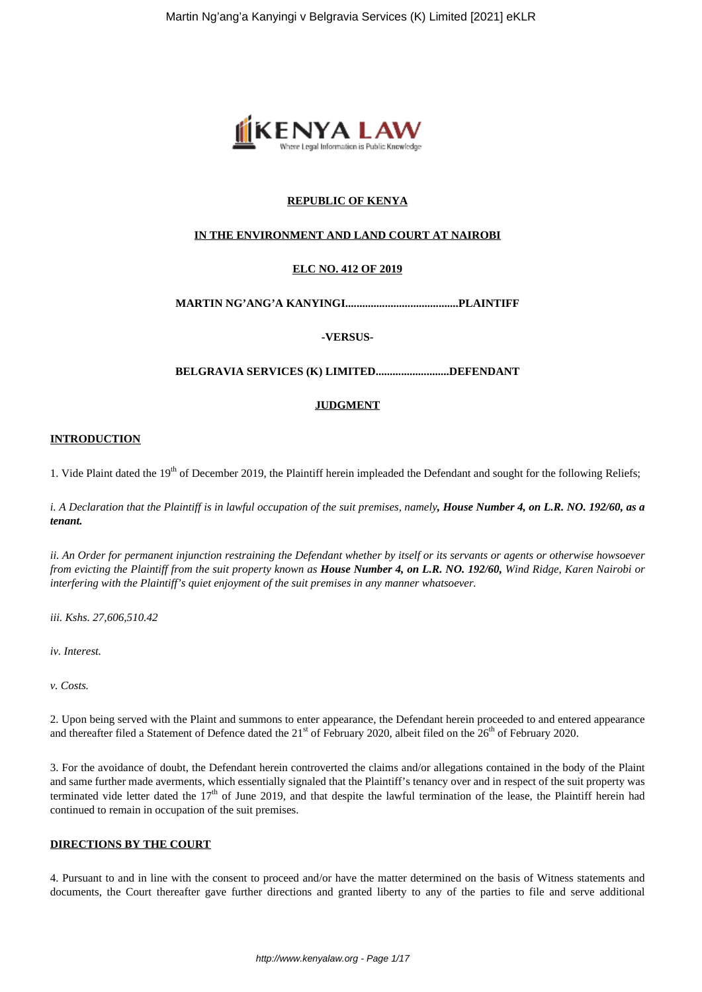

# **REPUBLIC OF KENYA**

### **IN THE ENVIRONMENT AND LAND COURT AT NAIROBI**

# **ELC NO. 412 OF 2019**

#### **MARTIN NG'ANG'A KANYINGI........................................PLAINTIFF**

**-VERSUS-**

#### **BELGRAVIA SERVICES (K) LIMITED..........................DEFENDANT**

#### **JUDGMENT**

#### **INTRODUCTION**

1. Vide Plaint dated the  $19<sup>th</sup>$  of December 2019, the Plaintiff herein impleaded the Defendant and sought for the following Reliefs;

*i. A Declaration that the Plaintiff is in lawful occupation of the suit premises, namely, House Number 4, on L.R. NO. 192/60, as a tenant.*

*ii. An Order for permanent injunction restraining the Defendant whether by itself or its servants or agents or otherwise howsoever from evicting the Plaintiff from the suit property known as House Number 4, on L.R. NO. 192/60, Wind Ridge, Karen Nairobi or interfering with the Plaintiff's quiet enjoyment of the suit premises in any manner whatsoever.*

*iii. Kshs. 27,606,510.42*

*iv. Interest.*

*v. Costs.*

2. Upon being served with the Plaint and summons to enter appearance, the Defendant herein proceeded to and entered appearance and thereafter filed a Statement of Defence dated the  $21<sup>st</sup>$  of February 2020, albeit filed on the  $26<sup>th</sup>$  of February 2020.

3. For the avoidance of doubt, the Defendant herein controverted the claims and/or allegations contained in the body of the Plaint and same further made averments, which essentially signaled that the Plaintiff's tenancy over and in respect of the suit property was terminated vide letter dated the  $17<sup>th</sup>$  of June 2019, and that despite the lawful termination of the lease, the Plaintiff herein had continued to remain in occupation of the suit premises.

#### **DIRECTIONS BY THE COURT**

4. Pursuant to and in line with the consent to proceed and/or have the matter determined on the basis of Witness statements and documents, the Court thereafter gave further directions and granted liberty to any of the parties to file and serve additional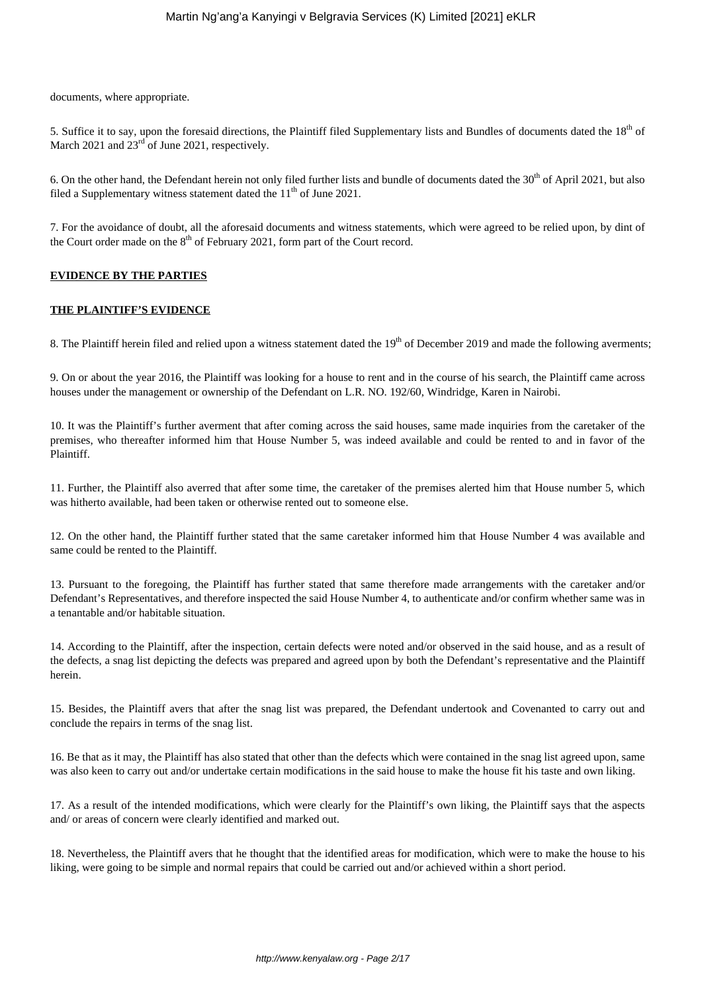documents, where appropriate.

5. Suffice it to say, upon the foresaid directions, the Plaintiff filed Supplementary lists and Bundles of documents dated the  $18<sup>th</sup>$  of March 2021 and 23<sup>rd</sup> of June 2021, respectively.

6. On the other hand, the Defendant herein not only filed further lists and bundle of documents dated the  $30<sup>th</sup>$  of April 2021, but also filed a Supplementary witness statement dated the  $11<sup>th</sup>$  of June 2021.

7. For the avoidance of doubt, all the aforesaid documents and witness statements, which were agreed to be relied upon, by dint of the Court order made on the  $8<sup>th</sup>$  of February 2021, form part of the Court record.

# **EVIDENCE BY THE PARTIES**

# **THE PLAINTIFF'S EVIDENCE**

8. The Plaintiff herein filed and relied upon a witness statement dated the  $19<sup>th</sup>$  of December 2019 and made the following averments;

9. On or about the year 2016, the Plaintiff was looking for a house to rent and in the course of his search, the Plaintiff came across houses under the management or ownership of the Defendant on L.R. NO. 192/60, Windridge, Karen in Nairobi.

10. It was the Plaintiff's further averment that after coming across the said houses, same made inquiries from the caretaker of the premises, who thereafter informed him that House Number 5, was indeed available and could be rented to and in favor of the Plaintiff.

11. Further, the Plaintiff also averred that after some time, the caretaker of the premises alerted him that House number 5, which was hitherto available, had been taken or otherwise rented out to someone else.

12. On the other hand, the Plaintiff further stated that the same caretaker informed him that House Number 4 was available and same could be rented to the Plaintiff.

13. Pursuant to the foregoing, the Plaintiff has further stated that same therefore made arrangements with the caretaker and/or Defendant's Representatives, and therefore inspected the said House Number 4, to authenticate and/or confirm whether same was in a tenantable and/or habitable situation.

14. According to the Plaintiff, after the inspection, certain defects were noted and/or observed in the said house, and as a result of the defects, a snag list depicting the defects was prepared and agreed upon by both the Defendant's representative and the Plaintiff herein.

15. Besides, the Plaintiff avers that after the snag list was prepared, the Defendant undertook and Covenanted to carry out and conclude the repairs in terms of the snag list.

16. Be that as it may, the Plaintiff has also stated that other than the defects which were contained in the snag list agreed upon, same was also keen to carry out and/or undertake certain modifications in the said house to make the house fit his taste and own liking.

17. As a result of the intended modifications, which were clearly for the Plaintiff's own liking, the Plaintiff says that the aspects and/ or areas of concern were clearly identified and marked out.

18. Nevertheless, the Plaintiff avers that he thought that the identified areas for modification, which were to make the house to his liking, were going to be simple and normal repairs that could be carried out and/or achieved within a short period.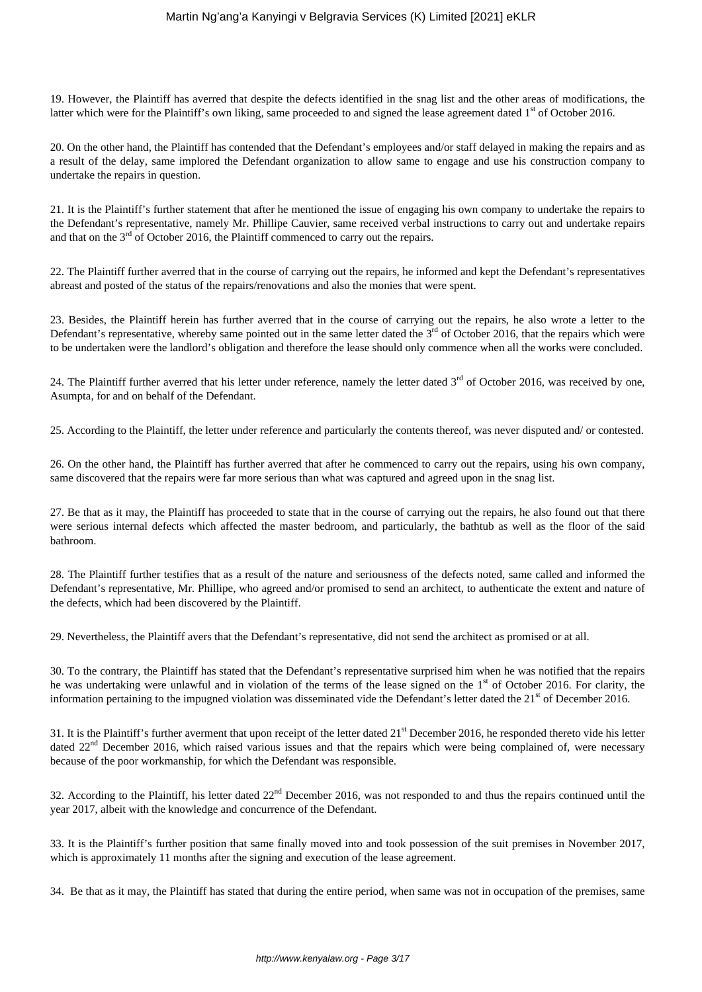19. However, the Plaintiff has averred that despite the defects identified in the snag list and the other areas of modifications, the latter which were for the Plaintiff's own liking, same proceeded to and signed the lease agreement dated 1<sup>st</sup> of October 2016.

20. On the other hand, the Plaintiff has contended that the Defendant's employees and/or staff delayed in making the repairs and as a result of the delay, same implored the Defendant organization to allow same to engage and use his construction company to undertake the repairs in question.

21. It is the Plaintiff's further statement that after he mentioned the issue of engaging his own company to undertake the repairs to the Defendant's representative, namely Mr. Phillipe Cauvier, same received verbal instructions to carry out and undertake repairs and that on the  $3<sup>rd</sup>$  of October 2016, the Plaintiff commenced to carry out the repairs.

22. The Plaintiff further averred that in the course of carrying out the repairs, he informed and kept the Defendant's representatives abreast and posted of the status of the repairs/renovations and also the monies that were spent.

23. Besides, the Plaintiff herein has further averred that in the course of carrying out the repairs, he also wrote a letter to the Defendant's representative, whereby same pointed out in the same letter dated the  $3<sup>rd</sup>$  of October 2016, that the repairs which were to be undertaken were the landlord's obligation and therefore the lease should only commence when all the works were concluded.

24. The Plaintiff further averred that his letter under reference, namely the letter dated  $3<sup>rd</sup>$  of October 2016, was received by one, Asumpta, for and on behalf of the Defendant.

25. According to the Plaintiff, the letter under reference and particularly the contents thereof, was never disputed and/ or contested.

26. On the other hand, the Plaintiff has further averred that after he commenced to carry out the repairs, using his own company, same discovered that the repairs were far more serious than what was captured and agreed upon in the snag list.

27. Be that as it may, the Plaintiff has proceeded to state that in the course of carrying out the repairs, he also found out that there were serious internal defects which affected the master bedroom, and particularly, the bathtub as well as the floor of the said bathroom.

28. The Plaintiff further testifies that as a result of the nature and seriousness of the defects noted, same called and informed the Defendant's representative, Mr. Phillipe, who agreed and/or promised to send an architect, to authenticate the extent and nature of the defects, which had been discovered by the Plaintiff.

29. Nevertheless, the Plaintiff avers that the Defendant's representative, did not send the architect as promised or at all.

30. To the contrary, the Plaintiff has stated that the Defendant's representative surprised him when he was notified that the repairs he was undertaking were unlawful and in violation of the terms of the lease signed on the  $1<sup>st</sup>$  of October 2016. For clarity, the information pertaining to the impugned violation was disseminated vide the Defendant's letter dated the  $21<sup>st</sup>$  of December 2016.

31. It is the Plaintiff's further averment that upon receipt of the letter dated  $21<sup>st</sup>$  December 2016, he responded thereto vide his letter dated  $22<sup>nd</sup>$  December 2016, which raised various issues and that the repairs which were being complained of, were necessary because of the poor workmanship, for which the Defendant was responsible.

32. According to the Plaintiff, his letter dated  $22<sup>nd</sup>$  December 2016, was not responded to and thus the repairs continued until the year 2017, albeit with the knowledge and concurrence of the Defendant.

33. It is the Plaintiff's further position that same finally moved into and took possession of the suit premises in November 2017, which is approximately 11 months after the signing and execution of the lease agreement.

34. Be that as it may, the Plaintiff has stated that during the entire period, when same was not in occupation of the premises, same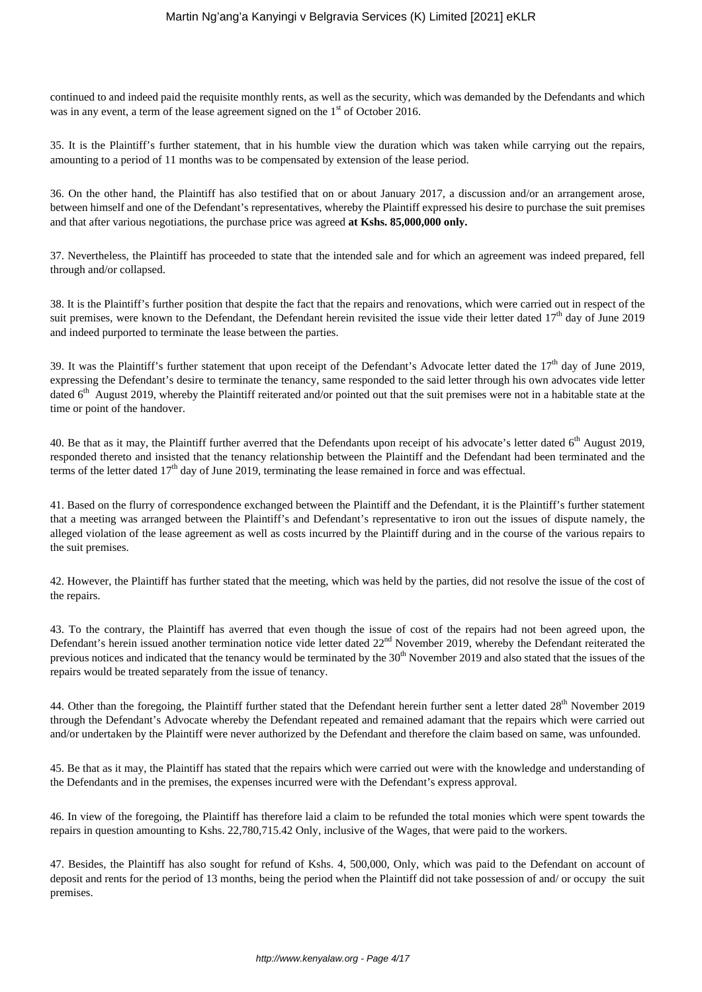continued to and indeed paid the requisite monthly rents, as well as the security, which was demanded by the Defendants and which was in any event, a term of the lease agreement signed on the  $1<sup>st</sup>$  of October 2016.

35. It is the Plaintiff's further statement, that in his humble view the duration which was taken while carrying out the repairs, amounting to a period of 11 months was to be compensated by extension of the lease period.

36. On the other hand, the Plaintiff has also testified that on or about January 2017, a discussion and/or an arrangement arose, between himself and one of the Defendant's representatives, whereby the Plaintiff expressed his desire to purchase the suit premises and that after various negotiations, the purchase price was agreed **at Kshs. 85,000,000 only.**

37. Nevertheless, the Plaintiff has proceeded to state that the intended sale and for which an agreement was indeed prepared, fell through and/or collapsed.

38. It is the Plaintiff's further position that despite the fact that the repairs and renovations, which were carried out in respect of the suit premises, were known to the Defendant, the Defendant herein revisited the issue vide their letter dated  $17<sup>th</sup>$  day of June 2019 and indeed purported to terminate the lease between the parties.

39. It was the Plaintiff's further statement that upon receipt of the Defendant's Advocate letter dated the  $17<sup>th</sup>$  day of June 2019, expressing the Defendant's desire to terminate the tenancy, same responded to the said letter through his own advocates vide letter dated  $6<sup>th</sup>$  August 2019, whereby the Plaintiff reiterated and/or pointed out that the suit premises were not in a habitable state at the time or point of the handover.

40. Be that as it may, the Plaintiff further averred that the Defendants upon receipt of his advocate's letter dated  $6<sup>th</sup>$  August 2019, responded thereto and insisted that the tenancy relationship between the Plaintiff and the Defendant had been terminated and the terms of the letter dated  $17<sup>th</sup>$  day of June 2019, terminating the lease remained in force and was effectual.

41. Based on the flurry of correspondence exchanged between the Plaintiff and the Defendant, it is the Plaintiff's further statement that a meeting was arranged between the Plaintiff's and Defendant's representative to iron out the issues of dispute namely, the alleged violation of the lease agreement as well as costs incurred by the Plaintiff during and in the course of the various repairs to the suit premises.

42. However, the Plaintiff has further stated that the meeting, which was held by the parties, did not resolve the issue of the cost of the repairs.

43. To the contrary, the Plaintiff has averred that even though the issue of cost of the repairs had not been agreed upon, the Defendant's herein issued another termination notice vide letter dated 22<sup>nd</sup> November 2019, whereby the Defendant reiterated the previous notices and indicated that the tenancy would be terminated by the  $30<sup>th</sup>$  November 2019 and also stated that the issues of the repairs would be treated separately from the issue of tenancy.

44. Other than the foregoing, the Plaintiff further stated that the Defendant herein further sent a letter dated 28<sup>th</sup> November 2019 through the Defendant's Advocate whereby the Defendant repeated and remained adamant that the repairs which were carried out and/or undertaken by the Plaintiff were never authorized by the Defendant and therefore the claim based on same, was unfounded.

45. Be that as it may, the Plaintiff has stated that the repairs which were carried out were with the knowledge and understanding of the Defendants and in the premises, the expenses incurred were with the Defendant's express approval.

46. In view of the foregoing, the Plaintiff has therefore laid a claim to be refunded the total monies which were spent towards the repairs in question amounting to Kshs. 22,780,715.42 Only, inclusive of the Wages, that were paid to the workers.

47. Besides, the Plaintiff has also sought for refund of Kshs. 4, 500,000, Only, which was paid to the Defendant on account of deposit and rents for the period of 13 months, being the period when the Plaintiff did not take possession of and/ or occupy the suit premises.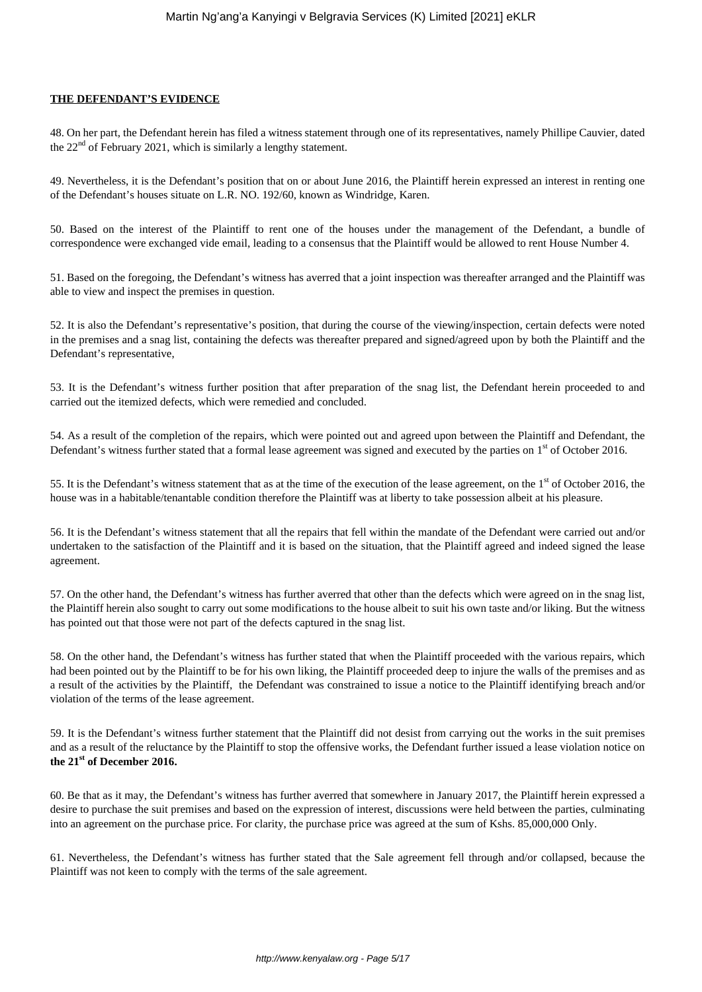#### **THE DEFENDANT'S EVIDENCE**

48. On her part, the Defendant herein has filed a witness statement through one of its representatives, namely Phillipe Cauvier, dated the 22<sup>nd</sup> of February 2021, which is similarly a lengthy statement.

49. Nevertheless, it is the Defendant's position that on or about June 2016, the Plaintiff herein expressed an interest in renting one of the Defendant's houses situate on L.R. NO. 192/60, known as Windridge, Karen.

50. Based on the interest of the Plaintiff to rent one of the houses under the management of the Defendant, a bundle of correspondence were exchanged vide email, leading to a consensus that the Plaintiff would be allowed to rent House Number 4.

51. Based on the foregoing, the Defendant's witness has averred that a joint inspection was thereafter arranged and the Plaintiff was able to view and inspect the premises in question.

52. It is also the Defendant's representative's position, that during the course of the viewing/inspection, certain defects were noted in the premises and a snag list, containing the defects was thereafter prepared and signed/agreed upon by both the Plaintiff and the Defendant's representative,

53. It is the Defendant's witness further position that after preparation of the snag list, the Defendant herein proceeded to and carried out the itemized defects, which were remedied and concluded.

54. As a result of the completion of the repairs, which were pointed out and agreed upon between the Plaintiff and Defendant, the Defendant's witness further stated that a formal lease agreement was signed and executed by the parties on 1<sup>st</sup> of October 2016.

55. It is the Defendant's witness statement that as at the time of the execution of the lease agreement, on the  $1<sup>st</sup>$  of October 2016, the house was in a habitable/tenantable condition therefore the Plaintiff was at liberty to take possession albeit at his pleasure.

56. It is the Defendant's witness statement that all the repairs that fell within the mandate of the Defendant were carried out and/or undertaken to the satisfaction of the Plaintiff and it is based on the situation, that the Plaintiff agreed and indeed signed the lease agreement.

57. On the other hand, the Defendant's witness has further averred that other than the defects which were agreed on in the snag list, the Plaintiff herein also sought to carry out some modifications to the house albeit to suit his own taste and/or liking. But the witness has pointed out that those were not part of the defects captured in the snag list.

58. On the other hand, the Defendant's witness has further stated that when the Plaintiff proceeded with the various repairs, which had been pointed out by the Plaintiff to be for his own liking, the Plaintiff proceeded deep to injure the walls of the premises and as a result of the activities by the Plaintiff, the Defendant was constrained to issue a notice to the Plaintiff identifying breach and/or violation of the terms of the lease agreement.

59. It is the Defendant's witness further statement that the Plaintiff did not desist from carrying out the works in the suit premises and as a result of the reluctance by the Plaintiff to stop the offensive works, the Defendant further issued a lease violation notice on **the 21st of December 2016.**

60. Be that as it may, the Defendant's witness has further averred that somewhere in January 2017, the Plaintiff herein expressed a desire to purchase the suit premises and based on the expression of interest, discussions were held between the parties, culminating into an agreement on the purchase price. For clarity, the purchase price was agreed at the sum of Kshs. 85,000,000 Only.

61. Nevertheless, the Defendant's witness has further stated that the Sale agreement fell through and/or collapsed, because the Plaintiff was not keen to comply with the terms of the sale agreement.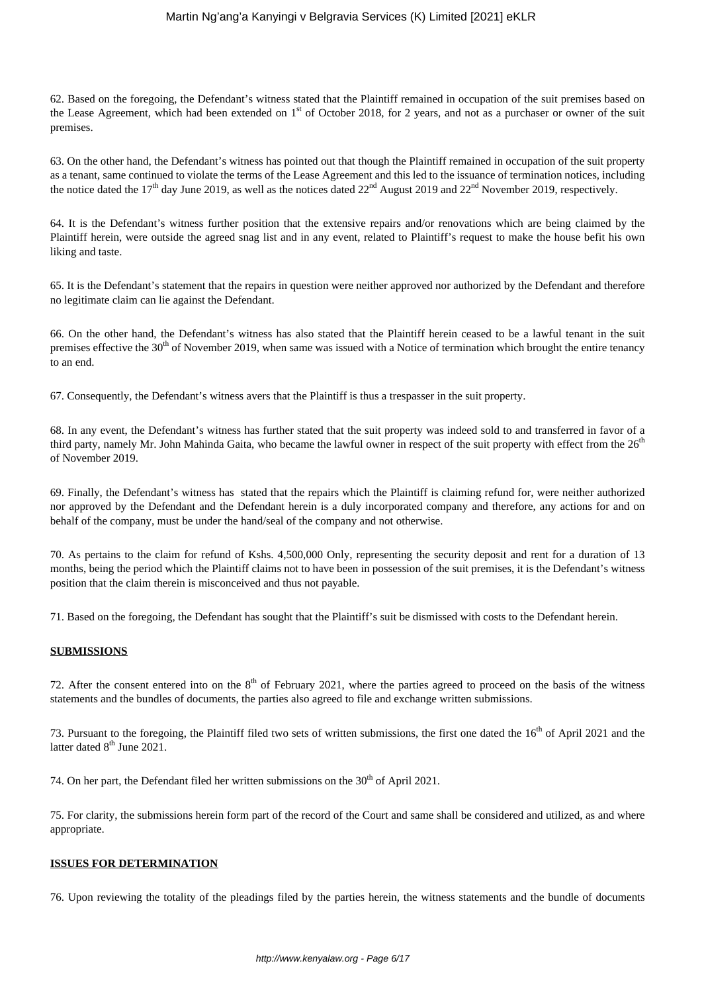62. Based on the foregoing, the Defendant's witness stated that the Plaintiff remained in occupation of the suit premises based on the Lease Agreement, which had been extended on  $1<sup>st</sup>$  of October 2018, for 2 years, and not as a purchaser or owner of the suit premises.

63. On the other hand, the Defendant's witness has pointed out that though the Plaintiff remained in occupation of the suit property as a tenant, same continued to violate the terms of the Lease Agreement and this led to the issuance of termination notices, including the notice dated the 17<sup>th</sup> day June 2019, as well as the notices dated  $22^{nd}$  August 2019 and  $22^{nd}$  November 2019, respectively.

64. It is the Defendant's witness further position that the extensive repairs and/or renovations which are being claimed by the Plaintiff herein, were outside the agreed snag list and in any event, related to Plaintiff's request to make the house befit his own liking and taste.

65. It is the Defendant's statement that the repairs in question were neither approved nor authorized by the Defendant and therefore no legitimate claim can lie against the Defendant.

66. On the other hand, the Defendant's witness has also stated that the Plaintiff herein ceased to be a lawful tenant in the suit premises effective the 30<sup>th</sup> of November 2019, when same was issued with a Notice of termination which brought the entire tenancy to an end.

67. Consequently, the Defendant's witness avers that the Plaintiff is thus a trespasser in the suit property.

68. In any event, the Defendant's witness has further stated that the suit property was indeed sold to and transferred in favor of a third party, namely Mr. John Mahinda Gaita, who became the lawful owner in respect of the suit property with effect from the  $26<sup>th</sup>$ of November 2019.

69. Finally, the Defendant's witness has stated that the repairs which the Plaintiff is claiming refund for, were neither authorized nor approved by the Defendant and the Defendant herein is a duly incorporated company and therefore, any actions for and on behalf of the company, must be under the hand/seal of the company and not otherwise.

70. As pertains to the claim for refund of Kshs. 4,500,000 Only, representing the security deposit and rent for a duration of 13 months, being the period which the Plaintiff claims not to have been in possession of the suit premises, it is the Defendant's witness position that the claim therein is misconceived and thus not payable.

71. Based on the foregoing, the Defendant has sought that the Plaintiff's suit be dismissed with costs to the Defendant herein.

#### **SUBMISSIONS**

72. After the consent entered into on the  $8<sup>th</sup>$  of February 2021, where the parties agreed to proceed on the basis of the witness statements and the bundles of documents, the parties also agreed to file and exchange written submissions.

73. Pursuant to the foregoing, the Plaintiff filed two sets of written submissions, the first one dated the 16<sup>th</sup> of April 2021 and the latter dated  $8<sup>th</sup>$  June 2021.

74. On her part, the Defendant filed her written submissions on the  $30<sup>th</sup>$  of April 2021.

75. For clarity, the submissions herein form part of the record of the Court and same shall be considered and utilized, as and where appropriate.

#### **ISSUES FOR DETERMINATION**

76. Upon reviewing the totality of the pleadings filed by the parties herein, the witness statements and the bundle of documents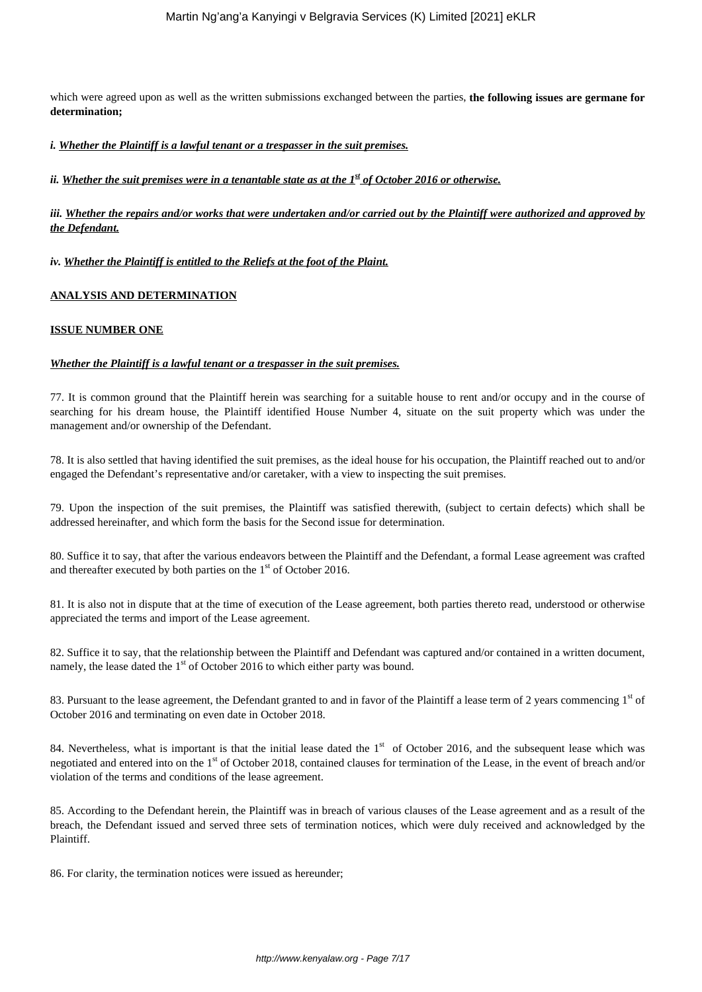which were agreed upon as well as the written submissions exchanged between the parties, **the following issues are germane for determination;**

*i. Whether the Plaintiff is a lawful tenant or a trespasser in the suit premises.*

*ii. Whether the suit premises were in a tenantable state as at the 1<sup><i>st*</sup> of October 2016 or otherwise.

*iii. Whether the repairs and/or works that were undertaken and/or carried out by the Plaintiff were authorized and approved by the Defendant.*

*iv. Whether the Plaintiff is entitled to the Reliefs at the foot of the Plaint.*

#### **ANALYSIS AND DETERMINATION**

#### **ISSUE NUMBER ONE**

#### *Whether the Plaintiff is a lawful tenant or a trespasser in the suit premises.*

77. It is common ground that the Plaintiff herein was searching for a suitable house to rent and/or occupy and in the course of searching for his dream house, the Plaintiff identified House Number 4, situate on the suit property which was under the management and/or ownership of the Defendant.

78. It is also settled that having identified the suit premises, as the ideal house for his occupation, the Plaintiff reached out to and/or engaged the Defendant's representative and/or caretaker, with a view to inspecting the suit premises.

79. Upon the inspection of the suit premises, the Plaintiff was satisfied therewith, (subject to certain defects) which shall be addressed hereinafter, and which form the basis for the Second issue for determination.

80. Suffice it to say, that after the various endeavors between the Plaintiff and the Defendant, a formal Lease agreement was crafted and thereafter executed by both parties on the  $1<sup>st</sup>$  of October 2016.

81. It is also not in dispute that at the time of execution of the Lease agreement, both parties thereto read, understood or otherwise appreciated the terms and import of the Lease agreement.

82. Suffice it to say, that the relationship between the Plaintiff and Defendant was captured and/or contained in a written document, namely, the lease dated the 1<sup>st</sup> of October 2016 to which either party was bound.

83. Pursuant to the lease agreement, the Defendant granted to and in favor of the Plaintiff a lease term of 2 years commencing 1<sup>st</sup> of October 2016 and terminating on even date in October 2018.

84. Nevertheless, what is important is that the initial lease dated the  $1<sup>st</sup>$  of October 2016, and the subsequent lease which was negotiated and entered into on the 1<sup>st</sup> of October 2018, contained clauses for termination of the Lease, in the event of breach and/or violation of the terms and conditions of the lease agreement.

85. According to the Defendant herein, the Plaintiff was in breach of various clauses of the Lease agreement and as a result of the breach, the Defendant issued and served three sets of termination notices, which were duly received and acknowledged by the Plaintiff.

86. For clarity, the termination notices were issued as hereunder;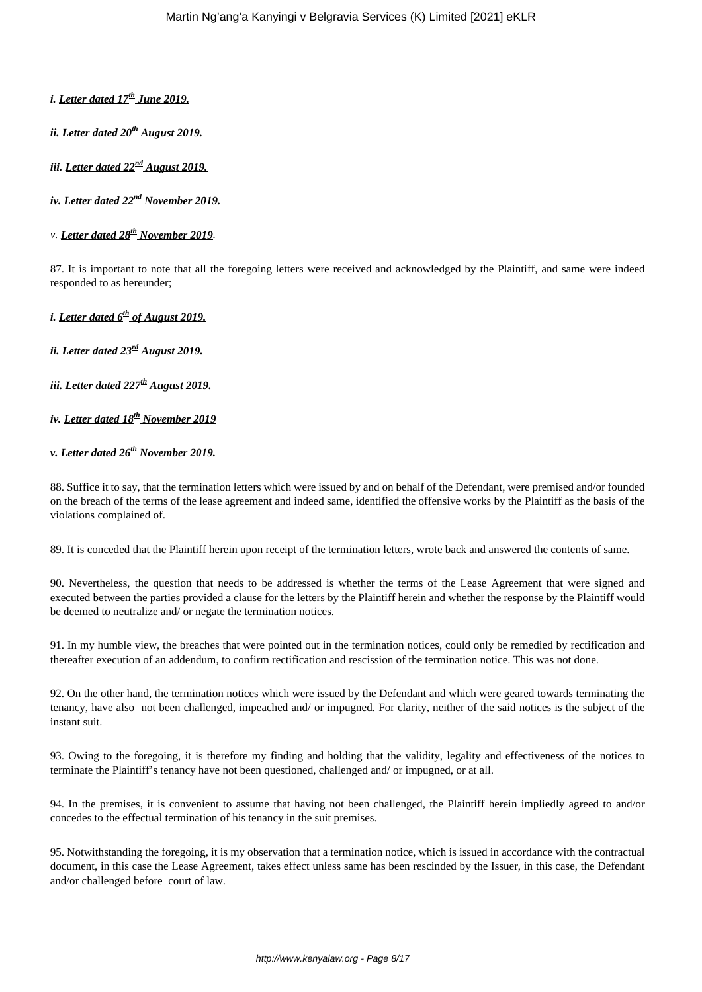- *i. Letter dated 17th June 2019.*
- *ii. Letter dated 20th August 2019.*

*iii. Letter dated 22nd August 2019.*

*iv. Letter dated 22nd November 2019.*

*v. Letter dated 28th November 2019.*

87. It is important to note that all the foregoing letters were received and acknowledged by the Plaintiff, and same were indeed responded to as hereunder;

*i. Letter dated 6th of August 2019.*

*ii. Letter dated 23rd August 2019.*

*iii. Letter dated 227th August 2019.*

- *iv. Letter dated 18th November 2019*
- *v. Letter dated 26th November 2019.*

88. Suffice it to say, that the termination letters which were issued by and on behalf of the Defendant, were premised and/or founded on the breach of the terms of the lease agreement and indeed same, identified the offensive works by the Plaintiff as the basis of the violations complained of.

89. It is conceded that the Plaintiff herein upon receipt of the termination letters, wrote back and answered the contents of same.

90. Nevertheless, the question that needs to be addressed is whether the terms of the Lease Agreement that were signed and executed between the parties provided a clause for the letters by the Plaintiff herein and whether the response by the Plaintiff would be deemed to neutralize and/ or negate the termination notices.

91. In my humble view, the breaches that were pointed out in the termination notices, could only be remedied by rectification and thereafter execution of an addendum, to confirm rectification and rescission of the termination notice. This was not done.

92. On the other hand, the termination notices which were issued by the Defendant and which were geared towards terminating the tenancy, have also not been challenged, impeached and/ or impugned. For clarity, neither of the said notices is the subject of the instant suit.

93. Owing to the foregoing, it is therefore my finding and holding that the validity, legality and effectiveness of the notices to terminate the Plaintiff's tenancy have not been questioned, challenged and/ or impugned, or at all.

94. In the premises, it is convenient to assume that having not been challenged, the Plaintiff herein impliedly agreed to and/or concedes to the effectual termination of his tenancy in the suit premises.

95. Notwithstanding the foregoing, it is my observation that a termination notice, which is issued in accordance with the contractual document, in this case the Lease Agreement, takes effect unless same has been rescinded by the Issuer, in this case, the Defendant and/or challenged before court of law.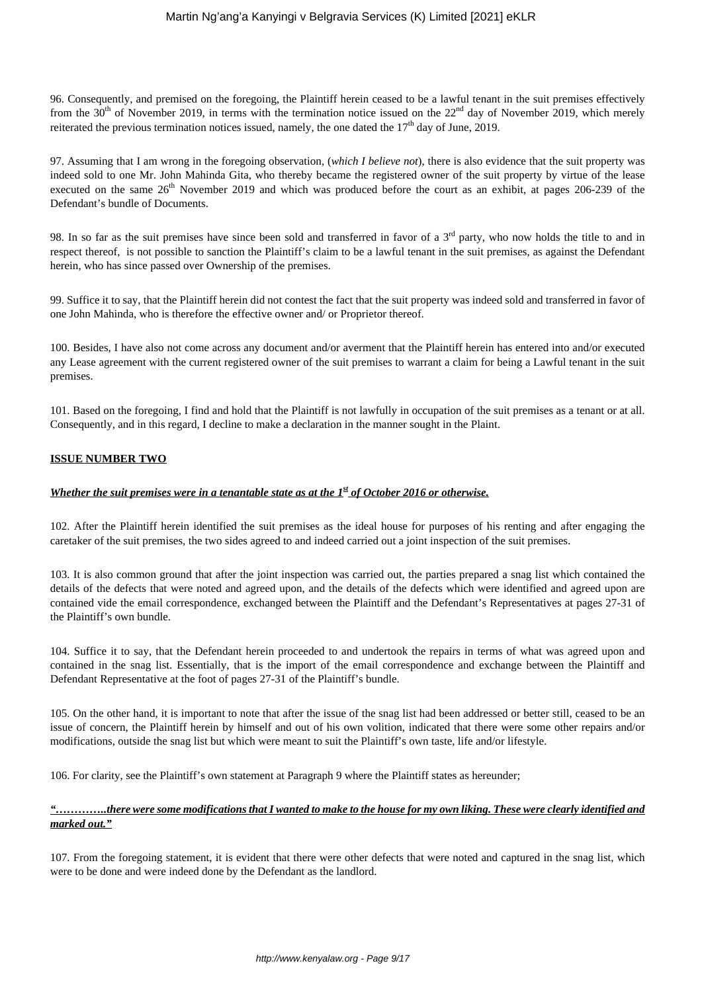96. Consequently, and premised on the foregoing, the Plaintiff herein ceased to be a lawful tenant in the suit premises effectively from the  $30<sup>th</sup>$  of November 2019, in terms with the termination notice issued on the  $22<sup>nd</sup>$  day of November 2019, which merely reiterated the previous termination notices issued, namely, the one dated the  $17<sup>th</sup>$  day of June, 2019.

97. Assuming that I am wrong in the foregoing observation, (*which I believe not*), there is also evidence that the suit property was indeed sold to one Mr. John Mahinda Gita, who thereby became the registered owner of the suit property by virtue of the lease executed on the same 26<sup>th</sup> November 2019 and which was produced before the court as an exhibit, at pages 206-239 of the Defendant's bundle of Documents.

98. In so far as the suit premises have since been sold and transferred in favor of a  $3<sup>rd</sup>$  party, who now holds the title to and in respect thereof, is not possible to sanction the Plaintiff's claim to be a lawful tenant in the suit premises, as against the Defendant herein, who has since passed over Ownership of the premises.

99. Suffice it to say, that the Plaintiff herein did not contest the fact that the suit property was indeed sold and transferred in favor of one John Mahinda, who is therefore the effective owner and/ or Proprietor thereof.

100. Besides, I have also not come across any document and/or averment that the Plaintiff herein has entered into and/or executed any Lease agreement with the current registered owner of the suit premises to warrant a claim for being a Lawful tenant in the suit premises.

101. Based on the foregoing, I find and hold that the Plaintiff is not lawfully in occupation of the suit premises as a tenant or at all. Consequently, and in this regard, I decline to make a declaration in the manner sought in the Plaint.

# **ISSUE NUMBER TWO**

### *Whether the suit premises were in a tenantable state as at the 1<sup>st</sup> of October 2016 or otherwise.*

102. After the Plaintiff herein identified the suit premises as the ideal house for purposes of his renting and after engaging the caretaker of the suit premises, the two sides agreed to and indeed carried out a joint inspection of the suit premises.

103. It is also common ground that after the joint inspection was carried out, the parties prepared a snag list which contained the details of the defects that were noted and agreed upon, and the details of the defects which were identified and agreed upon are contained vide the email correspondence, exchanged between the Plaintiff and the Defendant's Representatives at pages 27-31 of the Plaintiff's own bundle.

104. Suffice it to say, that the Defendant herein proceeded to and undertook the repairs in terms of what was agreed upon and contained in the snag list. Essentially, that is the import of the email correspondence and exchange between the Plaintiff and Defendant Representative at the foot of pages 27-31 of the Plaintiff's bundle.

105. On the other hand, it is important to note that after the issue of the snag list had been addressed or better still, ceased to be an issue of concern, the Plaintiff herein by himself and out of his own volition, indicated that there were some other repairs and/or modifications, outside the snag list but which were meant to suit the Plaintiff's own taste, life and/or lifestyle.

106. For clarity, see the Plaintiff's own statement at Paragraph 9 where the Plaintiff states as hereunder;

# *"…………..there were some modifications that I wanted to make to the house for my own liking. These were clearly identified and marked out."*

107. From the foregoing statement, it is evident that there were other defects that were noted and captured in the snag list, which were to be done and were indeed done by the Defendant as the landlord.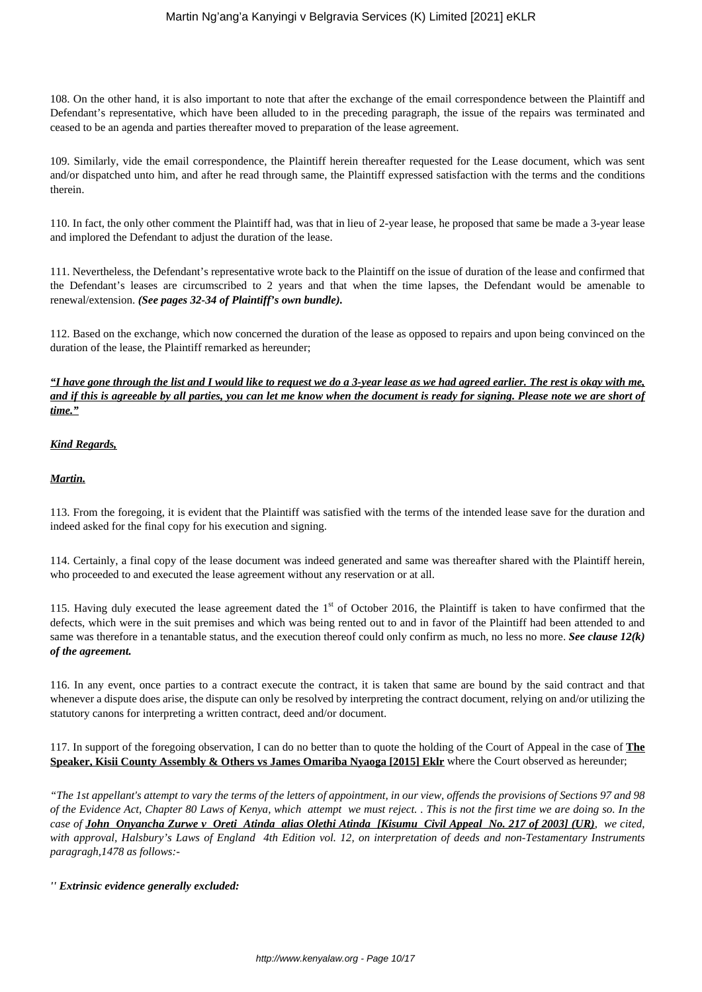108. On the other hand, it is also important to note that after the exchange of the email correspondence between the Plaintiff and Defendant's representative, which have been alluded to in the preceding paragraph, the issue of the repairs was terminated and ceased to be an agenda and parties thereafter moved to preparation of the lease agreement.

109. Similarly, vide the email correspondence, the Plaintiff herein thereafter requested for the Lease document, which was sent and/or dispatched unto him, and after he read through same, the Plaintiff expressed satisfaction with the terms and the conditions therein.

110. In fact, the only other comment the Plaintiff had, was that in lieu of 2-year lease, he proposed that same be made a 3-year lease and implored the Defendant to adjust the duration of the lease.

111. Nevertheless, the Defendant's representative wrote back to the Plaintiff on the issue of duration of the lease and confirmed that the Defendant's leases are circumscribed to 2 years and that when the time lapses, the Defendant would be amenable to renewal/extension. *(See pages 32-34 of Plaintiff's own bundle).*

112. Based on the exchange, which now concerned the duration of the lease as opposed to repairs and upon being convinced on the duration of the lease, the Plaintiff remarked as hereunder;

# *"I have gone through the list and I would like to request we do a 3-year lease as we had agreed earlier. The rest is okay with me, and if this is agreeable by all parties, you can let me know when the document is ready for signing. Please note we are short of time."*

# *Kind Regards,*

#### *Martin.*

113. From the foregoing, it is evident that the Plaintiff was satisfied with the terms of the intended lease save for the duration and indeed asked for the final copy for his execution and signing.

114. Certainly, a final copy of the lease document was indeed generated and same was thereafter shared with the Plaintiff herein, who proceeded to and executed the lease agreement without any reservation or at all.

115. Having duly executed the lease agreement dated the  $1<sup>st</sup>$  of October 2016, the Plaintiff is taken to have confirmed that the defects, which were in the suit premises and which was being rented out to and in favor of the Plaintiff had been attended to and same was therefore in a tenantable status, and the execution thereof could only confirm as much, no less no more. *See clause 12(k) of the agreement.*

116. In any event, once parties to a contract execute the contract, it is taken that same are bound by the said contract and that whenever a dispute does arise, the dispute can only be resolved by interpreting the contract document, relying on and/or utilizing the statutory canons for interpreting a written contract, deed and/or document.

117. In support of the foregoing observation, I can do no better than to quote the holding of the Court of Appeal in the case of **The Speaker, Kisii County Assembly & Others vs James Omariba Nyaoga [2015] Eklr** where the Court observed as hereunder;

*"The 1st appellant's attempt to vary the terms of the letters of appointment, in our view, offends the provisions of Sections 97 and 98 of the Evidence Act, Chapter 80 Laws of Kenya, which attempt we must reject. . This is not the first time we are doing so. In the case of John Onyancha Zurwe v Oreti Atinda alias Olethi Atinda [Kisumu Civil Appeal No. 217 of 2003] (UR), we cited, with approval, Halsbury's Laws of England 4th Edition vol. 12, on interpretation of deeds and non-Testamentary Instruments paragragh,1478 as follows:-*

*'' Extrinsic evidence generally excluded:*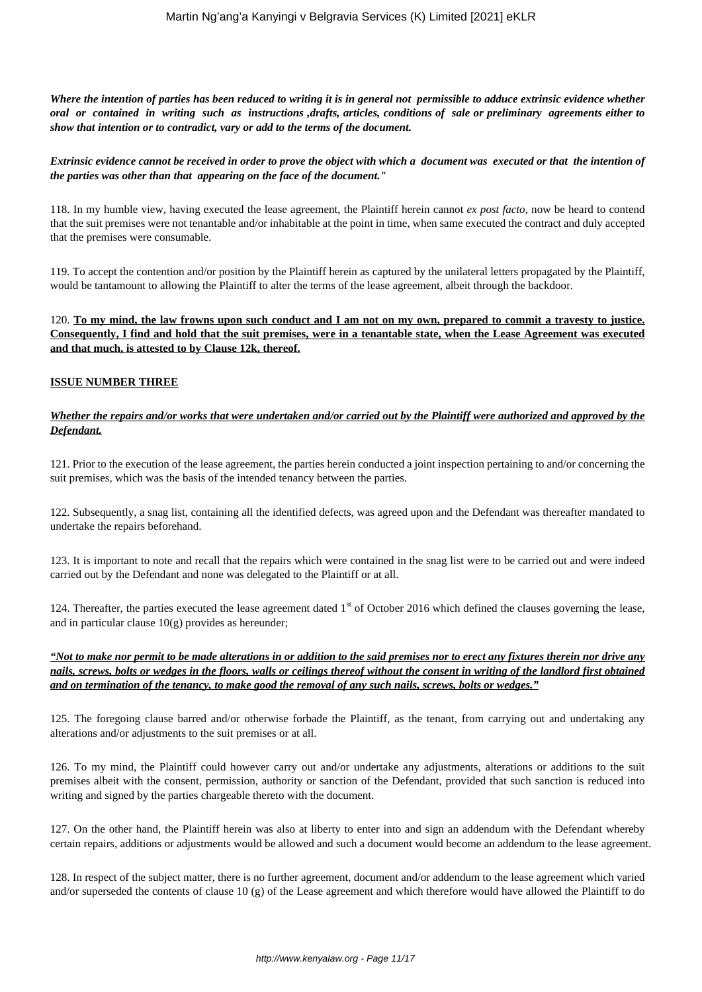*Where the intention of parties has been reduced to writing it is in general not permissible to adduce extrinsic evidence whether oral or contained in writing such as instructions ,drafts, articles, conditions of sale or preliminary agreements either to show that intention or to contradict, vary or add to the terms of the document.*

#### *Extrinsic evidence cannot be received in order to prove the object with which a document was executed or that the intention of the parties was other than that appearing on the face of the document."*

118. In my humble view, having executed the lease agreement, the Plaintiff herein cannot *ex post facto*, now be heard to contend that the suit premises were not tenantable and/or inhabitable at the point in time, when same executed the contract and duly accepted that the premises were consumable.

119. To accept the contention and/or position by the Plaintiff herein as captured by the unilateral letters propagated by the Plaintiff, would be tantamount to allowing the Plaintiff to alter the terms of the lease agreement, albeit through the backdoor.

120. **To my mind, the law frowns upon such conduct and I am not on my own, prepared to commit a travesty to justice. Consequently, I find and hold that the suit premises, were in a tenantable state, when the Lease Agreement was executed and that much, is attested to by Clause 12k, thereof.**

#### **ISSUE NUMBER THREE**

### *Whether the repairs and/or works that were undertaken and/or carried out by the Plaintiff were authorized and approved by the Defendant.*

121. Prior to the execution of the lease agreement, the parties herein conducted a joint inspection pertaining to and/or concerning the suit premises, which was the basis of the intended tenancy between the parties.

122. Subsequently, a snag list, containing all the identified defects, was agreed upon and the Defendant was thereafter mandated to undertake the repairs beforehand.

123. It is important to note and recall that the repairs which were contained in the snag list were to be carried out and were indeed carried out by the Defendant and none was delegated to the Plaintiff or at all.

124. Thereafter, the parties executed the lease agreement dated  $1<sup>st</sup>$  of October 2016 which defined the clauses governing the lease, and in particular clause  $10<sub>(g)</sub>$  provides as hereunder;

*"Not to make nor permit to be made alterations in or addition to the said premises nor to erect any fixtures therein nor drive any nails, screws, bolts or wedges in the floors, walls or ceilings thereof without the consent in writing of the landlord first obtained and on termination of the tenancy, to make good the removal of any such nails, screws, bolts or wedges."*

125. The foregoing clause barred and/or otherwise forbade the Plaintiff, as the tenant, from carrying out and undertaking any alterations and/or adjustments to the suit premises or at all.

126. To my mind, the Plaintiff could however carry out and/or undertake any adjustments, alterations or additions to the suit premises albeit with the consent, permission, authority or sanction of the Defendant, provided that such sanction is reduced into writing and signed by the parties chargeable thereto with the document.

127. On the other hand, the Plaintiff herein was also at liberty to enter into and sign an addendum with the Defendant whereby certain repairs, additions or adjustments would be allowed and such a document would become an addendum to the lease agreement.

128. In respect of the subject matter, there is no further agreement, document and/or addendum to the lease agreement which varied and/or superseded the contents of clause 10 (g) of the Lease agreement and which therefore would have allowed the Plaintiff to do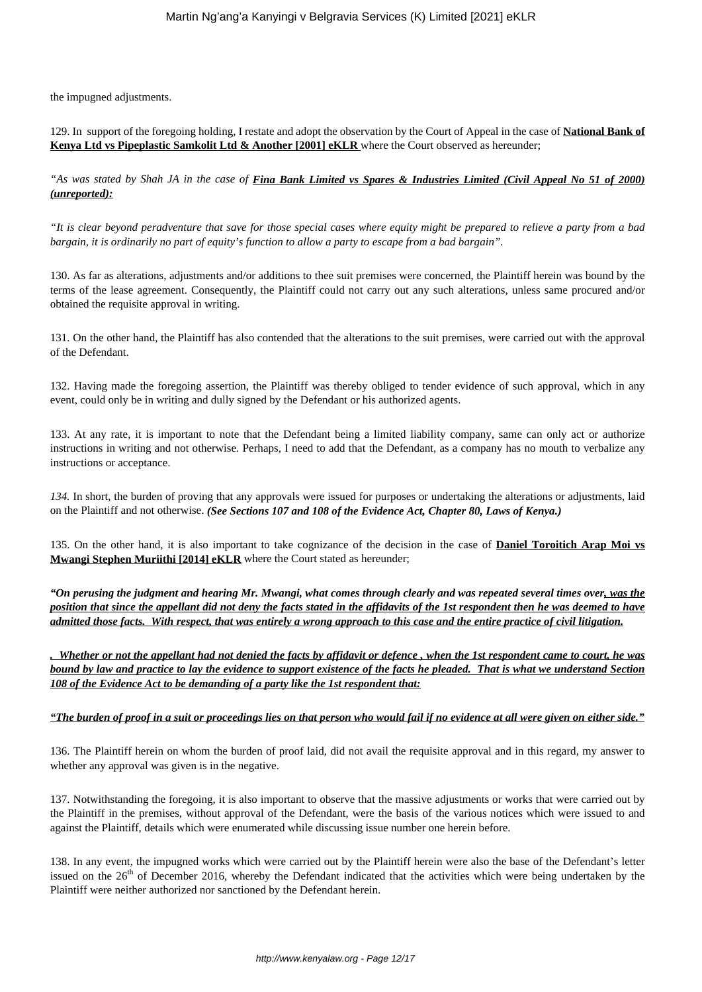the impugned adjustments.

129. In support of the foregoing holding, I restate and adopt the observation by the Court of Appeal in the case of **National Bank of Kenya Ltd vs Pipeplastic Samkolit Ltd & Another [2001] eKLR** where the Court observed as hereunder;

*"As was stated by Shah JA in the case of Fina Bank Limited vs Spares & Industries Limited (Civil Appeal No 51 of 2000) (unreported):*

*"It is clear beyond peradventure that save for those special cases where equity might be prepared to relieve a party from a bad bargain, it is ordinarily no part of equity's function to allow a party to escape from a bad bargain".*

130. As far as alterations, adjustments and/or additions to thee suit premises were concerned, the Plaintiff herein was bound by the terms of the lease agreement. Consequently, the Plaintiff could not carry out any such alterations, unless same procured and/or obtained the requisite approval in writing.

131. On the other hand, the Plaintiff has also contended that the alterations to the suit premises, were carried out with the approval of the Defendant.

132. Having made the foregoing assertion, the Plaintiff was thereby obliged to tender evidence of such approval, which in any event, could only be in writing and dully signed by the Defendant or his authorized agents.

133. At any rate, it is important to note that the Defendant being a limited liability company, same can only act or authorize instructions in writing and not otherwise. Perhaps, I need to add that the Defendant, as a company has no mouth to verbalize any instructions or acceptance.

*134.* In short, the burden of proving that any approvals were issued for purposes or undertaking the alterations or adjustments, laid on the Plaintiff and not otherwise. *(See Sections 107 and 108 of the Evidence Act, Chapter 80, Laws of Kenya.)*

135. On the other hand, it is also important to take cognizance of the decision in the case of **Daniel Toroitich Arap Moi vs Mwangi Stephen Muriithi [2014] eKLR** where the Court stated as hereunder;

*"On perusing the judgment and hearing Mr. Mwangi, what comes through clearly and was repeated several times over, was the position that since the appellant did not deny the facts stated in the affidavits of the 1st respondent then he was deemed to have admitted those facts. With respect, that was entirely a wrong approach to this case and the entire practice of civil litigation.*

*. Whether or not the appellant had not denied the facts by affidavit or defence , when the 1st respondent came to court, he was bound by law and practice to lay the evidence to support existence of the facts he pleaded. That is what we understand Section 108 of the Evidence Act to be demanding of a party like the 1st respondent that:*

#### *"The burden of proof in a suit or proceedings lies on that person who would fail if no evidence at all were given on either side."*

136. The Plaintiff herein on whom the burden of proof laid, did not avail the requisite approval and in this regard, my answer to whether any approval was given is in the negative.

137. Notwithstanding the foregoing, it is also important to observe that the massive adjustments or works that were carried out by the Plaintiff in the premises, without approval of the Defendant, were the basis of the various notices which were issued to and against the Plaintiff, details which were enumerated while discussing issue number one herein before.

138. In any event, the impugned works which were carried out by the Plaintiff herein were also the base of the Defendant's letter issued on the 26<sup>th</sup> of December 2016, whereby the Defendant indicated that the activities which were being undertaken by the Plaintiff were neither authorized nor sanctioned by the Defendant herein.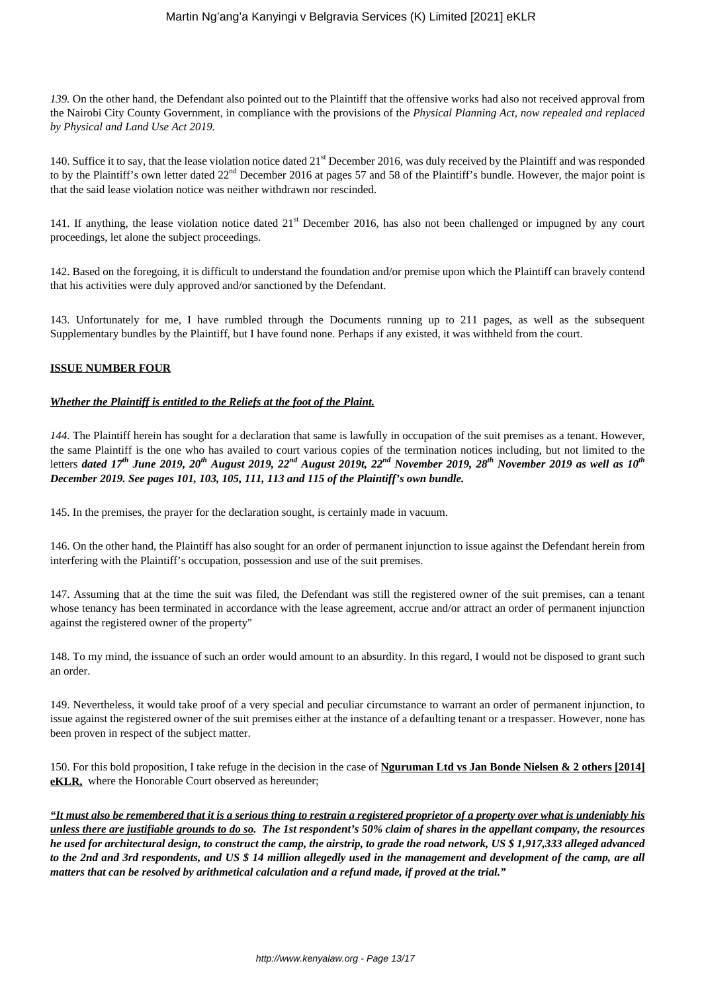*139.* On the other hand, the Defendant also pointed out to the Plaintiff that the offensive works had also not received approval from the Nairobi City County Government, in compliance with the provisions of the *Physical Planning Act, now repealed and replaced by Physical and Land Use Act 2019.*

140. Suffice it to say, that the lease violation notice dated 21st December 2016, was duly received by the Plaintiff and was responded to by the Plaintiff's own letter dated  $22<sup>nd</sup>$  December 2016 at pages 57 and 58 of the Plaintiff's bundle. However, the major point is that the said lease violation notice was neither withdrawn nor rescinded.

141. If anything, the lease violation notice dated 21<sup>st</sup> December 2016, has also not been challenged or impugned by any court proceedings, let alone the subject proceedings.

142. Based on the foregoing, it is difficult to understand the foundation and/or premise upon which the Plaintiff can bravely contend that his activities were duly approved and/or sanctioned by the Defendant.

143. Unfortunately for me, I have rumbled through the Documents running up to 211 pages, as well as the subsequent Supplementary bundles by the Plaintiff, but I have found none. Perhaps if any existed, it was withheld from the court.

#### **ISSUE NUMBER FOUR**

#### *Whether the Plaintiff is entitled to the Reliefs at the foot of the Plaint.*

*144.* The Plaintiff herein has sought for a declaration that same is lawfully in occupation of the suit premises as a tenant. However, the same Plaintiff is the one who has availed to court various copies of the termination notices including, but not limited to the letters *dated 17th June 2019, 20th August 2019, 22nd August 2019t, 22nd November 2019, 28th November 2019 as well as 10th December 2019. See pages 101, 103, 105, 111, 113 and 115 of the Plaintiff's own bundle.*

145. In the premises, the prayer for the declaration sought, is certainly made in vacuum.

146. On the other hand, the Plaintiff has also sought for an order of permanent injunction to issue against the Defendant herein from interfering with the Plaintiff's occupation, possession and use of the suit premises.

147. Assuming that at the time the suit was filed, the Defendant was still the registered owner of the suit premises, can a tenant whose tenancy has been terminated in accordance with the lease agreement, accrue and/or attract an order of permanent injunction against the registered owner of the property"

148. To my mind, the issuance of such an order would amount to an absurdity. In this regard, I would not be disposed to grant such an order.

149. Nevertheless, it would take proof of a very special and peculiar circumstance to warrant an order of permanent injunction, to issue against the registered owner of the suit premises either at the instance of a defaulting tenant or a trespasser. However, none has been proven in respect of the subject matter.

150. For this bold proposition, I take refuge in the decision in the case of **Nguruman Ltd vs Jan Bonde Nielsen & 2 others [2014] eKLR,** where the Honorable Court observed as hereunder;

*"It must also be remembered that it is a serious thing to restrain a registered proprietor of a property over what is undeniably his unless there are justifiable grounds to do so. The 1st respondent's 50% claim of shares in the appellant company, the resources he used for architectural design, to construct the camp, the airstrip, to grade the road network, US \$ 1,917,333 alleged advanced to the 2nd and 3rd respondents, and US \$ 14 million allegedly used in the management and development of the camp, are all matters that can be resolved by arithmetical calculation and a refund made, if proved at the trial."*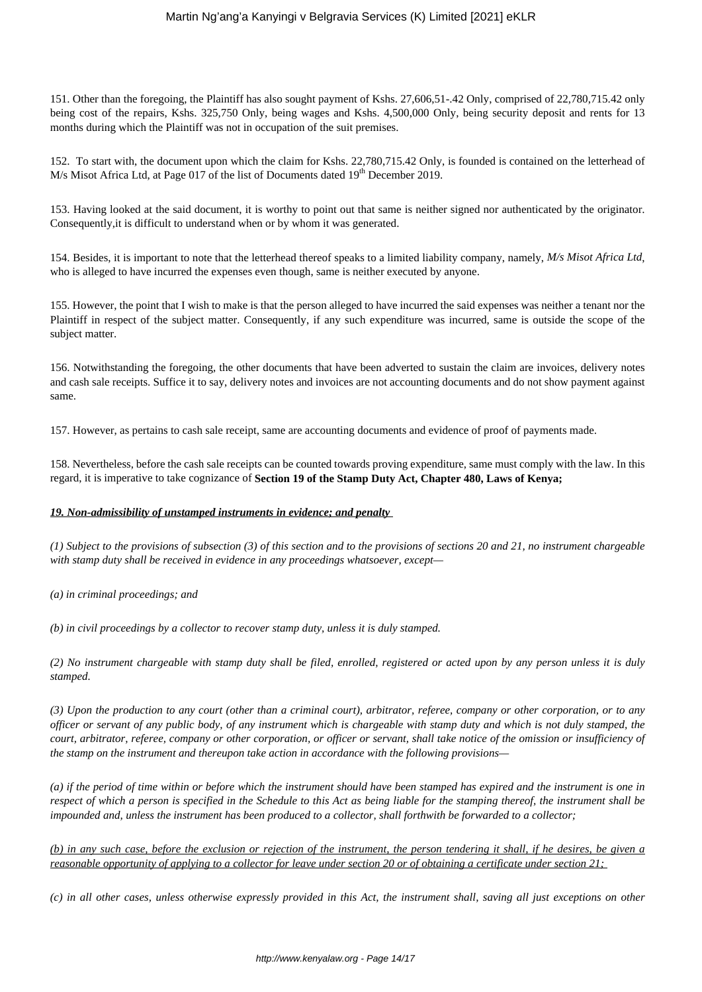151. Other than the foregoing, the Plaintiff has also sought payment of Kshs. 27,606,51-.42 Only, comprised of 22,780,715.42 only being cost of the repairs, Kshs. 325,750 Only, being wages and Kshs. 4,500,000 Only, being security deposit and rents for 13 months during which the Plaintiff was not in occupation of the suit premises.

152. To start with, the document upon which the claim for Kshs. 22,780,715.42 Only, is founded is contained on the letterhead of M/s Misot Africa Ltd, at Page 017 of the list of Documents dated  $19<sup>th</sup>$  December 2019.

153. Having looked at the said document, it is worthy to point out that same is neither signed nor authenticated by the originator. Consequently,it is difficult to understand when or by whom it was generated.

154. Besides, it is important to note that the letterhead thereof speaks to a limited liability company, namely, *M/s Misot Africa Ltd*, who is alleged to have incurred the expenses even though, same is neither executed by anyone.

155. However, the point that I wish to make is that the person alleged to have incurred the said expenses was neither a tenant nor the Plaintiff in respect of the subject matter. Consequently, if any such expenditure was incurred, same is outside the scope of the subject matter.

156. Notwithstanding the foregoing, the other documents that have been adverted to sustain the claim are invoices, delivery notes and cash sale receipts. Suffice it to say, delivery notes and invoices are not accounting documents and do not show payment against same.

157. However, as pertains to cash sale receipt, same are accounting documents and evidence of proof of payments made.

158. Nevertheless, before the cash sale receipts can be counted towards proving expenditure, same must comply with the law. In this regard, it is imperative to take cognizance of **Section 19 of the Stamp Duty Act, Chapter 480, Laws of Kenya;**

#### *19. Non-admissibility of unstamped instruments in evidence; and penalty*

*(1) Subject to the provisions of subsection (3) of this section and to the provisions of sections 20 and 21, no instrument chargeable with stamp duty shall be received in evidence in any proceedings whatsoever, except—* 

*(a) in criminal proceedings; and* 

*(b) in civil proceedings by a collector to recover stamp duty, unless it is duly stamped.* 

*(2) No instrument chargeable with stamp duty shall be filed, enrolled, registered or acted upon by any person unless it is duly stamped.*

*(3) Upon the production to any court (other than a criminal court), arbitrator, referee, company or other corporation, or to any officer or servant of any public body, of any instrument which is chargeable with stamp duty and which is not duly stamped, the court, arbitrator, referee, company or other corporation, or officer or servant, shall take notice of the omission or insufficiency of the stamp on the instrument and thereupon take action in accordance with the following provisions—* 

*(a) if the period of time within or before which the instrument should have been stamped has expired and the instrument is one in respect of which a person is specified in the Schedule to this Act as being liable for the stamping thereof, the instrument shall be impounded and, unless the instrument has been produced to a collector, shall forthwith be forwarded to a collector;* 

*(b) in any such case, before the exclusion or rejection of the instrument, the person tendering it shall, if he desires, be given a reasonable opportunity of applying to a collector for leave under section 20 or of obtaining a certificate under section 21;* 

*(c) in all other cases, unless otherwise expressly provided in this Act, the instrument shall, saving all just exceptions on other*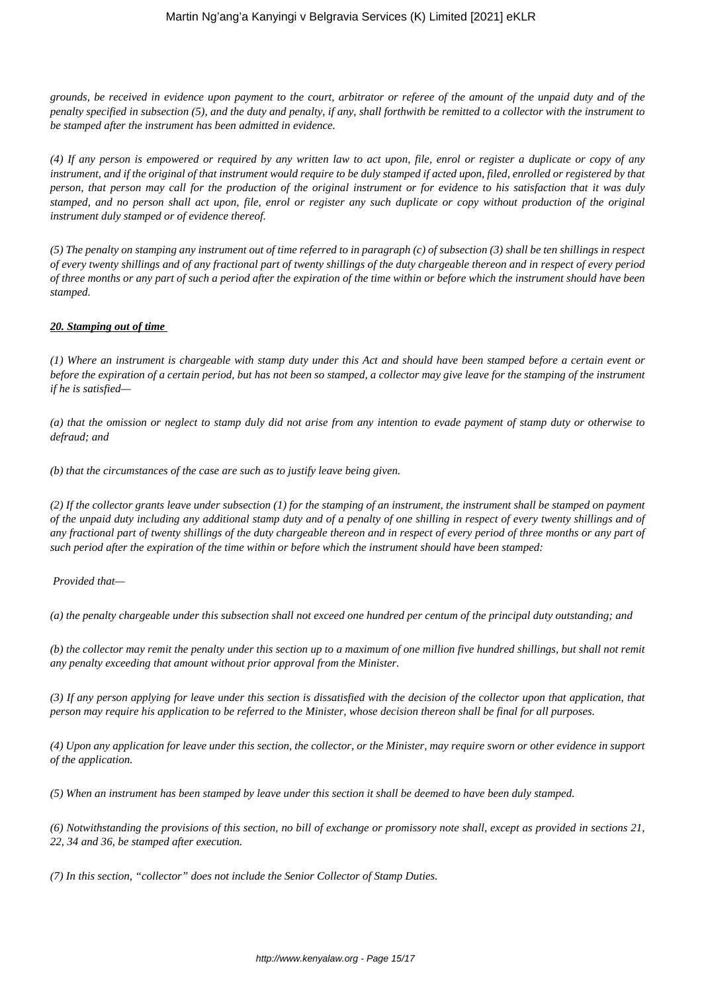*grounds, be received in evidence upon payment to the court, arbitrator or referee of the amount of the unpaid duty and of the penalty specified in subsection (5), and the duty and penalty, if any, shall forthwith be remitted to a collector with the instrument to be stamped after the instrument has been admitted in evidence.*

*(4) If any person is empowered or required by any written law to act upon, file, enrol or register a duplicate or copy of any instrument, and if the original of that instrument would require to be duly stamped if acted upon, filed, enrolled or registered by that person, that person may call for the production of the original instrument or for evidence to his satisfaction that it was duly stamped, and no person shall act upon, file, enrol or register any such duplicate or copy without production of the original instrument duly stamped or of evidence thereof.*

*(5) The penalty on stamping any instrument out of time referred to in paragraph (c) of subsection (3) shall be ten shillings in respect of every twenty shillings and of any fractional part of twenty shillings of the duty chargeable thereon and in respect of every period of three months or any part of such a period after the expiration of the time within or before which the instrument should have been stamped.*

#### *20. Stamping out of time*

*(1) Where an instrument is chargeable with stamp duty under this Act and should have been stamped before a certain event or before the expiration of a certain period, but has not been so stamped, a collector may give leave for the stamping of the instrument if he is satisfied—*

*(a) that the omission or neglect to stamp duly did not arise from any intention to evade payment of stamp duty or otherwise to defraud; and*

*(b) that the circumstances of the case are such as to justify leave being given.*

*(2) If the collector grants leave under subsection (1) for the stamping of an instrument, the instrument shall be stamped on payment of the unpaid duty including any additional stamp duty and of a penalty of one shilling in respect of every twenty shillings and of any fractional part of twenty shillings of the duty chargeable thereon and in respect of every period of three months or any part of such period after the expiration of the time within or before which the instrument should have been stamped:*

*Provided that—*

*(a) the penalty chargeable under this subsection shall not exceed one hundred per centum of the principal duty outstanding; and*

*(b) the collector may remit the penalty under this section up to a maximum of one million five hundred shillings, but shall not remit any penalty exceeding that amount without prior approval from the Minister.*

*(3) If any person applying for leave under this section is dissatisfied with the decision of the collector upon that application, that person may require his application to be referred to the Minister, whose decision thereon shall be final for all purposes.*

*(4) Upon any application for leave under this section, the collector, or the Minister, may require sworn or other evidence in support of the application.*

*(5) When an instrument has been stamped by leave under this section it shall be deemed to have been duly stamped.*

*(6) Notwithstanding the provisions of this section, no bill of exchange or promissory note shall, except as provided in sections 21, 22, 34 and 36, be stamped after execution.*

*(7) In this section, "collector" does not include the Senior Collector of Stamp Duties.*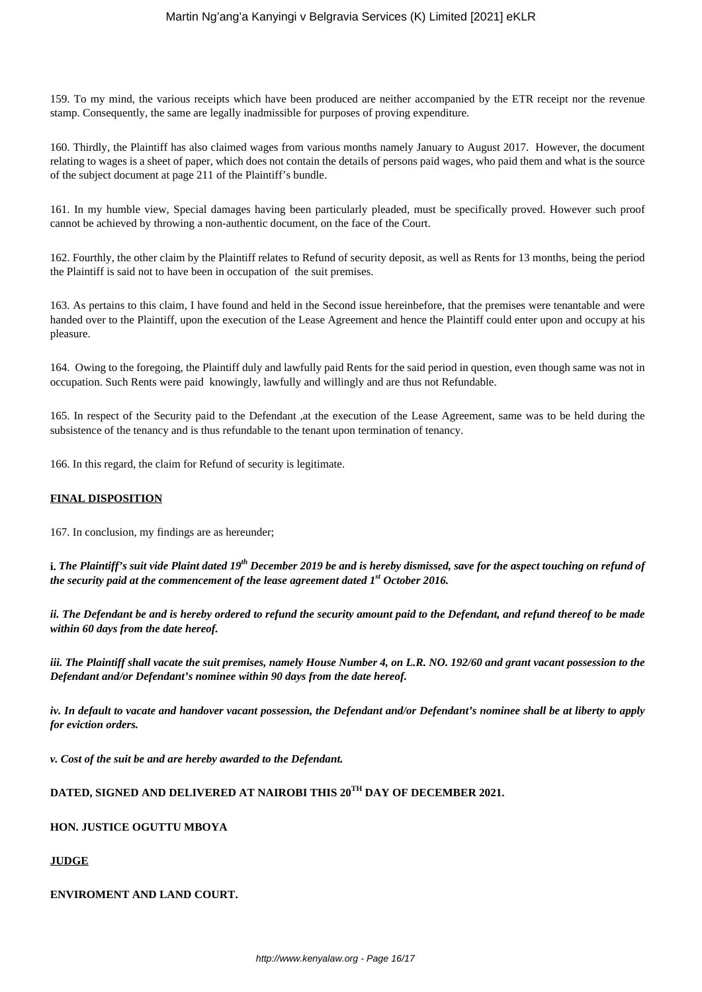159. To my mind, the various receipts which have been produced are neither accompanied by the ETR receipt nor the revenue stamp. Consequently, the same are legally inadmissible for purposes of proving expenditure.

160. Thirdly, the Plaintiff has also claimed wages from various months namely January to August 2017. However, the document relating to wages is a sheet of paper, which does not contain the details of persons paid wages, who paid them and what is the source of the subject document at page 211 of the Plaintiff's bundle.

161. In my humble view, Special damages having been particularly pleaded, must be specifically proved. However such proof cannot be achieved by throwing a non-authentic document, on the face of the Court.

162. Fourthly, the other claim by the Plaintiff relates to Refund of security deposit, as well as Rents for 13 months, being the period the Plaintiff is said not to have been in occupation of the suit premises.

163. As pertains to this claim, I have found and held in the Second issue hereinbefore, that the premises were tenantable and were handed over to the Plaintiff, upon the execution of the Lease Agreement and hence the Plaintiff could enter upon and occupy at his pleasure.

164. Owing to the foregoing, the Plaintiff duly and lawfully paid Rents for the said period in question, even though same was not in occupation. Such Rents were paid knowingly, lawfully and willingly and are thus not Refundable.

165. In respect of the Security paid to the Defendant ,at the execution of the Lease Agreement, same was to be held during the subsistence of the tenancy and is thus refundable to the tenant upon termination of tenancy.

166. In this regard, the claim for Refund of security is legitimate.

#### **FINAL DISPOSITION**

167. In conclusion, my findings are as hereunder;

**i.** *The Plaintiff's suit vide Plaint dated 19th December 2019 be and is hereby dismissed, save for the aspect touching on refund of the security paid at the commencement of the lease agreement dated 1st October 2016.*

*ii. The Defendant be and is hereby ordered to refund the security amount paid to the Defendant, and refund thereof to be made within 60 days from the date hereof.*

*iii. The Plaintiff shall vacate the suit premises, namely House Number 4, on L.R. NO. 192/60 and grant vacant possession to the Defendant and/or Defendant's nominee within 90 days from the date hereof.*

*iv. In default to vacate and handover vacant possession, the Defendant and/or Defendant's nominee shall be at liberty to apply for eviction orders.*

*v. Cost of the suit be and are hereby awarded to the Defendant.*

# **DATED, SIGNED AND DELIVERED AT NAIROBI THIS 20TH DAY OF DECEMBER 2021.**

#### **HON. JUSTICE OGUTTU MBOYA**

#### **JUDGE**

#### **ENVIROMENT AND LAND COURT.**